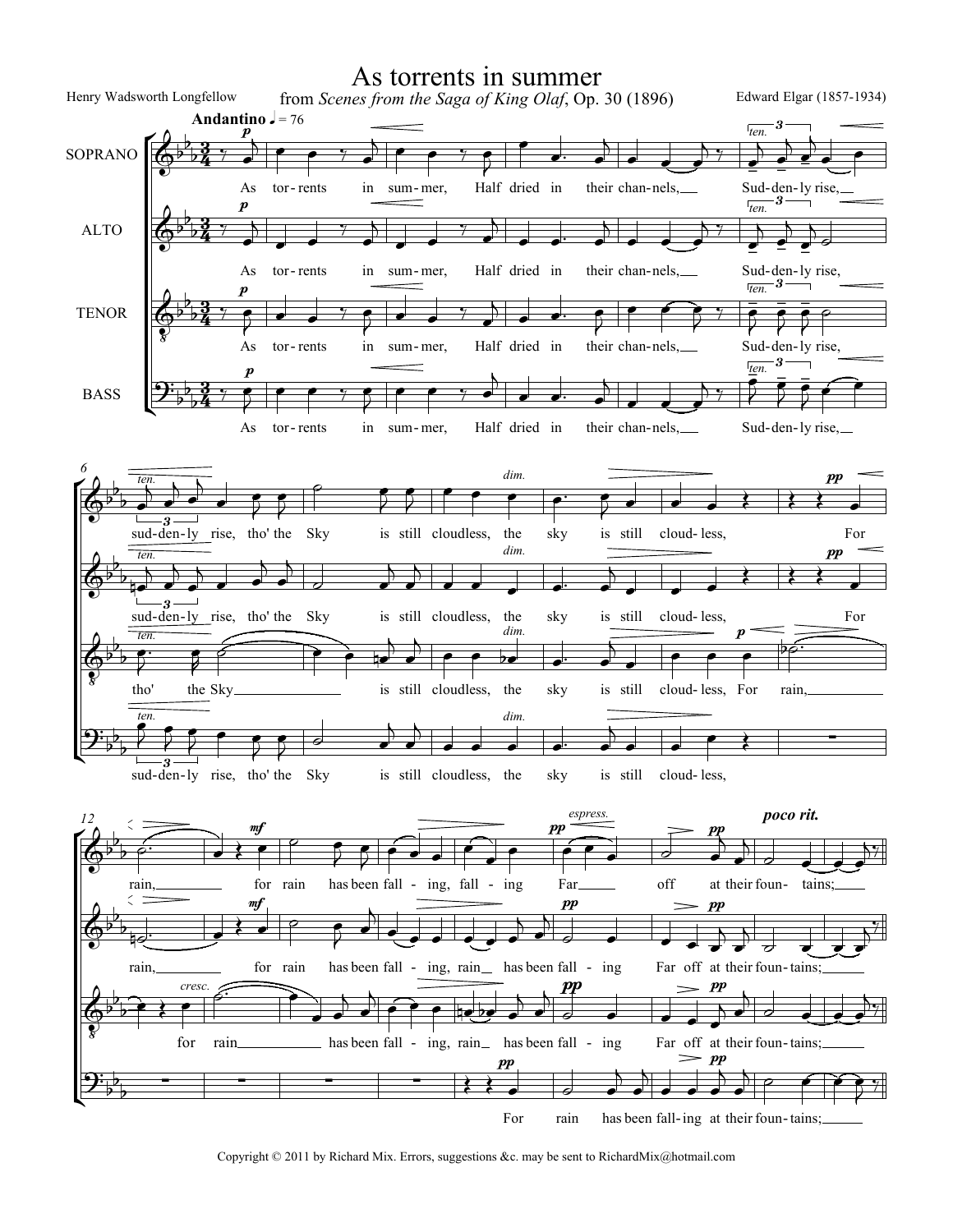

Copyright © 2011 by Richard Mix. Errors, suggestions &c. may be sent to RichardMix@hotmail.com